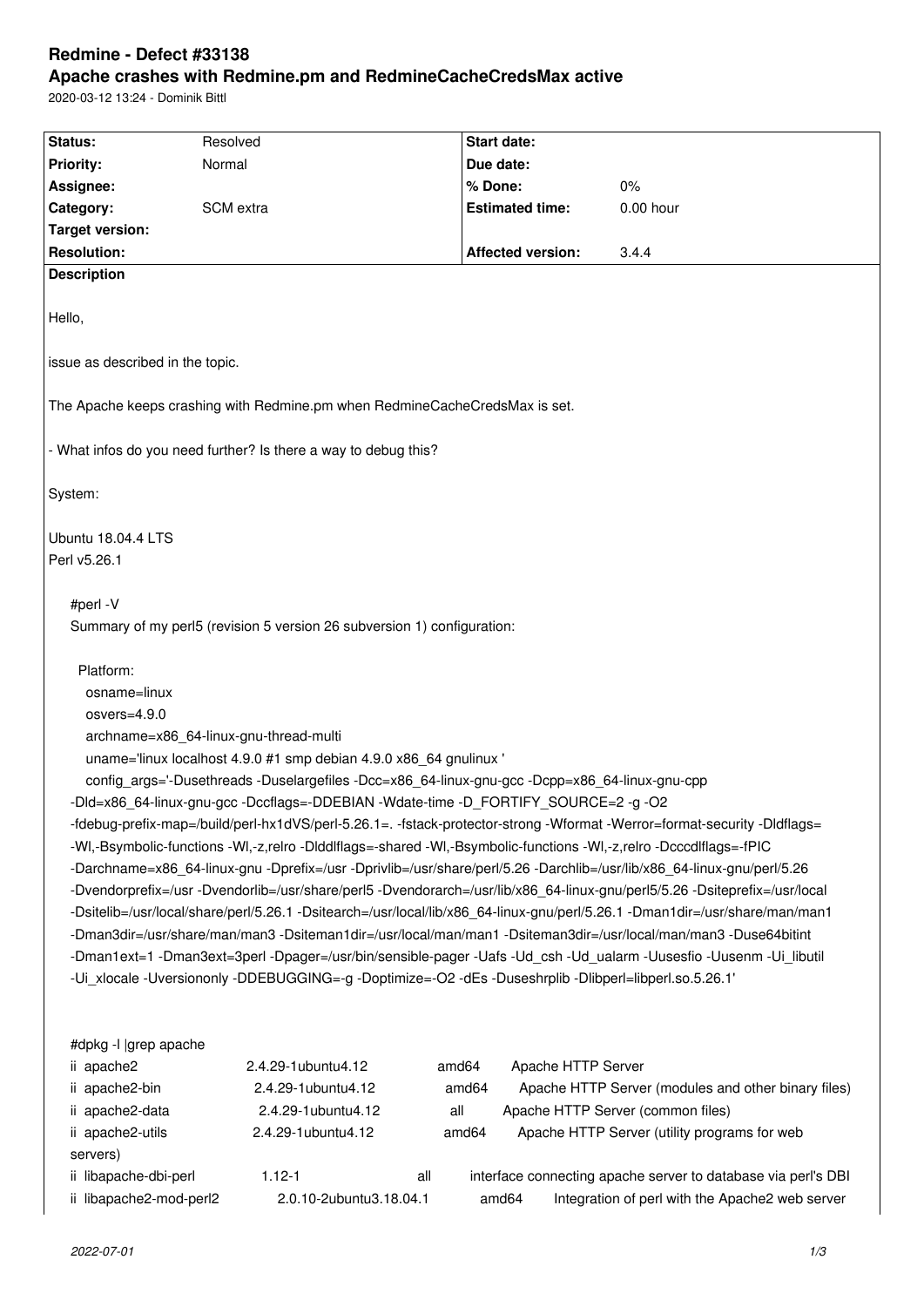# **Redmine - Defect #33138 Apache crashes with Redmine.pm and RedmineCacheCredsMax active**

2020-03-12 13:24 - Dominik Bittl

| Status:                                                                                                                                                                                                                                                                                                                                                                                                                                                                                                                                                                                                                                                                                                                                                                                                                                                                                                                                                                                                                                                                                                                                                                                                                                                                                                                                        | Resolved                                                                                                                                    | <b>Start date:</b>                                     |                                                                                                                                                                                                                                                              |  |  |  |  |
|------------------------------------------------------------------------------------------------------------------------------------------------------------------------------------------------------------------------------------------------------------------------------------------------------------------------------------------------------------------------------------------------------------------------------------------------------------------------------------------------------------------------------------------------------------------------------------------------------------------------------------------------------------------------------------------------------------------------------------------------------------------------------------------------------------------------------------------------------------------------------------------------------------------------------------------------------------------------------------------------------------------------------------------------------------------------------------------------------------------------------------------------------------------------------------------------------------------------------------------------------------------------------------------------------------------------------------------------|---------------------------------------------------------------------------------------------------------------------------------------------|--------------------------------------------------------|--------------------------------------------------------------------------------------------------------------------------------------------------------------------------------------------------------------------------------------------------------------|--|--|--|--|
| <b>Priority:</b>                                                                                                                                                                                                                                                                                                                                                                                                                                                                                                                                                                                                                                                                                                                                                                                                                                                                                                                                                                                                                                                                                                                                                                                                                                                                                                                               | Normal                                                                                                                                      | Due date:                                              |                                                                                                                                                                                                                                                              |  |  |  |  |
| Assignee:                                                                                                                                                                                                                                                                                                                                                                                                                                                                                                                                                                                                                                                                                                                                                                                                                                                                                                                                                                                                                                                                                                                                                                                                                                                                                                                                      |                                                                                                                                             | % Done:                                                | $0\%$                                                                                                                                                                                                                                                        |  |  |  |  |
| Category:                                                                                                                                                                                                                                                                                                                                                                                                                                                                                                                                                                                                                                                                                                                                                                                                                                                                                                                                                                                                                                                                                                                                                                                                                                                                                                                                      | SCM extra                                                                                                                                   | <b>Estimated time:</b>                                 | 0.00 hour                                                                                                                                                                                                                                                    |  |  |  |  |
| <b>Target version:</b>                                                                                                                                                                                                                                                                                                                                                                                                                                                                                                                                                                                                                                                                                                                                                                                                                                                                                                                                                                                                                                                                                                                                                                                                                                                                                                                         |                                                                                                                                             |                                                        |                                                                                                                                                                                                                                                              |  |  |  |  |
| <b>Resolution:</b>                                                                                                                                                                                                                                                                                                                                                                                                                                                                                                                                                                                                                                                                                                                                                                                                                                                                                                                                                                                                                                                                                                                                                                                                                                                                                                                             |                                                                                                                                             | <b>Affected version:</b>                               | 3.4.4                                                                                                                                                                                                                                                        |  |  |  |  |
| <b>Description</b>                                                                                                                                                                                                                                                                                                                                                                                                                                                                                                                                                                                                                                                                                                                                                                                                                                                                                                                                                                                                                                                                                                                                                                                                                                                                                                                             |                                                                                                                                             |                                                        |                                                                                                                                                                                                                                                              |  |  |  |  |
| Hello,                                                                                                                                                                                                                                                                                                                                                                                                                                                                                                                                                                                                                                                                                                                                                                                                                                                                                                                                                                                                                                                                                                                                                                                                                                                                                                                                         |                                                                                                                                             |                                                        |                                                                                                                                                                                                                                                              |  |  |  |  |
| issue as described in the topic.                                                                                                                                                                                                                                                                                                                                                                                                                                                                                                                                                                                                                                                                                                                                                                                                                                                                                                                                                                                                                                                                                                                                                                                                                                                                                                               |                                                                                                                                             |                                                        |                                                                                                                                                                                                                                                              |  |  |  |  |
| The Apache keeps crashing with Redmine.pm when RedmineCacheCredsMax is set.                                                                                                                                                                                                                                                                                                                                                                                                                                                                                                                                                                                                                                                                                                                                                                                                                                                                                                                                                                                                                                                                                                                                                                                                                                                                    |                                                                                                                                             |                                                        |                                                                                                                                                                                                                                                              |  |  |  |  |
| - What infos do you need further? Is there a way to debug this?                                                                                                                                                                                                                                                                                                                                                                                                                                                                                                                                                                                                                                                                                                                                                                                                                                                                                                                                                                                                                                                                                                                                                                                                                                                                                |                                                                                                                                             |                                                        |                                                                                                                                                                                                                                                              |  |  |  |  |
| System:                                                                                                                                                                                                                                                                                                                                                                                                                                                                                                                                                                                                                                                                                                                                                                                                                                                                                                                                                                                                                                                                                                                                                                                                                                                                                                                                        |                                                                                                                                             |                                                        |                                                                                                                                                                                                                                                              |  |  |  |  |
| Ubuntu 18.04.4 LTS<br>Perl v5.26.1                                                                                                                                                                                                                                                                                                                                                                                                                                                                                                                                                                                                                                                                                                                                                                                                                                                                                                                                                                                                                                                                                                                                                                                                                                                                                                             |                                                                                                                                             |                                                        |                                                                                                                                                                                                                                                              |  |  |  |  |
| #perl -V<br>Summary of my perl5 (revision 5 version 26 subversion 1) configuration:                                                                                                                                                                                                                                                                                                                                                                                                                                                                                                                                                                                                                                                                                                                                                                                                                                                                                                                                                                                                                                                                                                                                                                                                                                                            |                                                                                                                                             |                                                        |                                                                                                                                                                                                                                                              |  |  |  |  |
| Platform:<br>osname=linux<br>osvers=4.9.0<br>archname=x86_64-linux-gnu-thread-multi<br>uname='linux localhost 4.9.0 #1 smp debian 4.9.0 x86 64 gnulinux '<br>config_args='-Dusethreads -Duselargefiles -Dcc=x86_64-linux-gnu-gcc -Dcpp=x86_64-linux-gnu-cpp<br>-Dld=x86_64-linux-gnu-gcc -Dccflags=-DDEBIAN -Wdate-time -D_FORTIFY_SOURCE=2 -g -O2<br>-fdebug-prefix-map=/build/perl-hx1dVS/perl-5.26.1=. -fstack-protector-strong -Wformat -Werror=format-security -Dldflags=<br>-WI,-Bsymbolic-functions -WI,-z,relro -DIddlflags=-shared -WI,-Bsymbolic-functions -WI,-z,relro -Dcccdlflags=-fPIC<br>-Darchname=x86_64-linux-gnu -Dprefix=/usr -Dprivlib=/usr/share/perl/5.26 -Darchlib=/usr/lib/x86_64-linux-gnu/perl/5.26<br>-Dvendorprefix=/usr -Dvendorlib=/usr/share/perl5 -Dvendorarch=/usr/lib/x86_64-linux-gnu/perl5/5.26 -Dsiteprefix=/usr/local<br>-Dsitelib=/usr/local/share/perl/5.26.1 -Dsitearch=/usr/local/lib/x86_64-linux-gnu/perl/5.26.1 -Dman1dir=/usr/share/man/man1<br>-Dman3dir=/usr/share/man/man3 -Dsiteman1dir=/usr/local/man/man1 -Dsiteman3dir=/usr/local/man/man3 -Duse64bitint<br>-Dman1ext=1 -Dman3ext=3perl -Dpager=/usr/bin/sensible-pager -Uafs -Ud_csh -Ud_ualarm -Uusesfio -Uusenm -Ui_libutil<br>-Ui_xlocale -Uversiononly -DDEBUGGING=-g -Doptimize=-O2 -dEs -Duseshrplib -Dlibperl=libperl.so.5.26.1' |                                                                                                                                             |                                                        |                                                                                                                                                                                                                                                              |  |  |  |  |
| #dpkg -I  grep apache<br>ii apache2<br>ii apache2-bin<br>ii apache2-data<br>ii apache2-utils<br>servers)<br>ii libapache-dbi-perl<br>ii libapache2-mod-perl2                                                                                                                                                                                                                                                                                                                                                                                                                                                                                                                                                                                                                                                                                                                                                                                                                                                                                                                                                                                                                                                                                                                                                                                   | 2.4.29-1ubuntu4.12<br>2.4.29-1ubuntu4.12<br>2.4.29-1ubuntu4.12<br>all<br>2.4.29-1ubuntu4.12<br>$1.12 - 1$<br>all<br>2.0.10-2ubuntu3.18.04.1 | amd64<br>Apache HTTP Server<br>amd64<br>amd64<br>amd64 | Apache HTTP Server (modules and other binary files)<br>Apache HTTP Server (common files)<br>Apache HTTP Server (utility programs for web<br>interface connecting apache server to database via perl's DBI<br>Integration of perl with the Apache2 web server |  |  |  |  |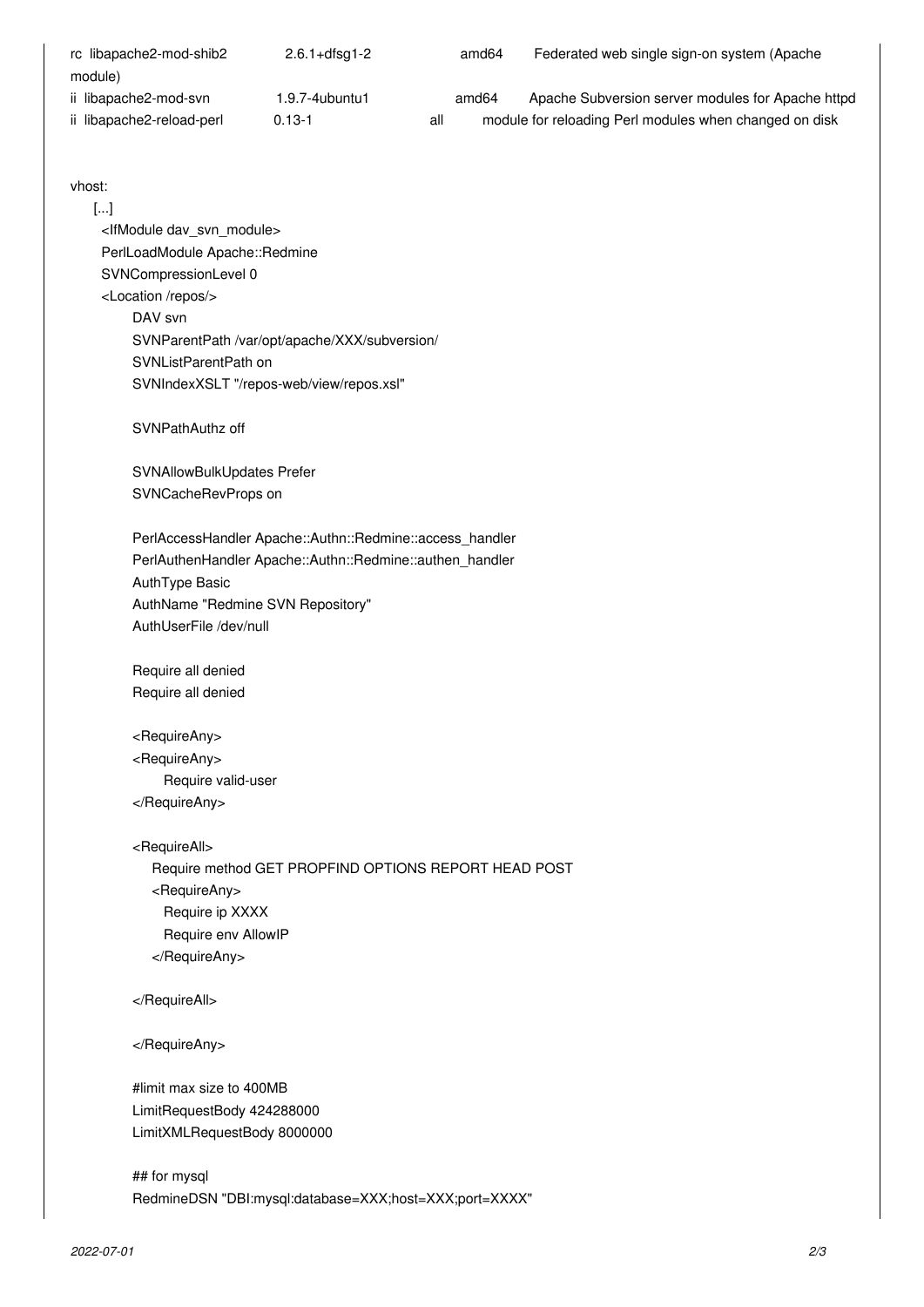| rc libapache2-mod-shib2   | $2.6.1 + df$ sq $1 - 2$ |     | amd64             | Federated web single sign-on system (Apache            |
|---------------------------|-------------------------|-----|-------------------|--------------------------------------------------------|
| module)                   |                         |     |                   |                                                        |
| ii libapache2-mod-svn     | $1.9.7 - 4$ ubuntu1     |     | amd <sub>64</sub> | Apache Subversion server modules for Apache httpd      |
| ii libapache2-reload-perl | $0.13 - 1$              | all |                   | module for reloading Perl modules when changed on disk |

vhost:

 [...] <IfModule dav\_svn\_module> PerlLoadModule Apache::Redmine SVNCompressionLevel 0 <Location /repos/> DAV svn SVNParentPath /var/opt/apache/XXX/subversion/ SVNListParentPath on SVNIndexXSLT "/repos-web/view/repos.xsl" SVNPathAuthz off SVNAllowBulkUpdates Prefer SVNCacheRevProps on PerlAccessHandler Apache::Authn::Redmine::access\_handler PerlAuthenHandler Apache::Authn::Redmine::authen\_handler AuthType Basic AuthName "Redmine SVN Repository" AuthUserFile /dev/null Require all denied Require all denied <RequireAny> <RequireAny> Require valid-user </RequireAny> <RequireAll> Require method GET PROPFIND OPTIONS REPORT HEAD POST <RequireAny> Require ip XXXX Require env AllowIP </RequireAny> </RequireAll> </RequireAny> #limit max size to 400MB LimitRequestBody 424288000 LimitXMLRequestBody 8000000 ## for mysql

RedmineDSN "DBI:mysql:database=XXX;host=XXX;port=XXXX"